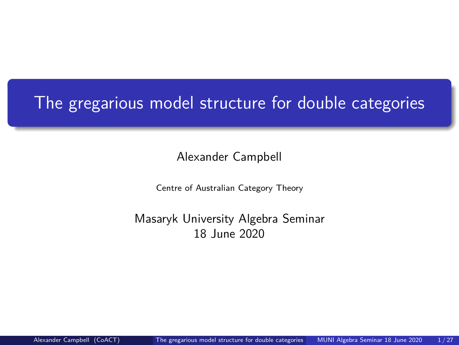# <span id="page-0-0"></span>The gregarious model structure for double categories

Alexander Campbell

Centre of Australian Category Theory

Masaryk University Algebra Seminar 18 June 2020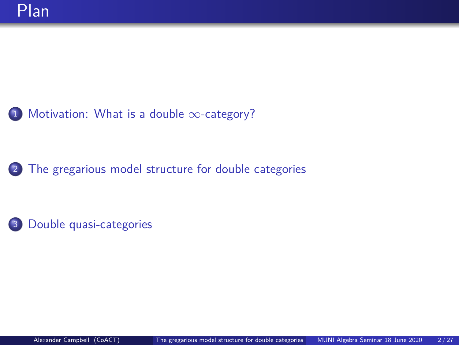<sup>1</sup> [Motivation: What is a double](#page-2-0) ∞-category?

<sup>2</sup> [The gregarious model structure for double categories](#page-7-0)

<sup>3</sup> [Double quasi-categories](#page-21-0)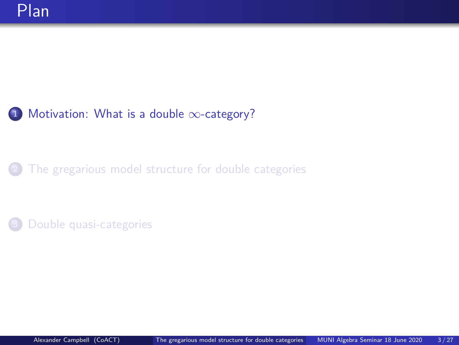### <span id="page-2-0"></span><sup>1</sup> [Motivation: What is a double](#page-2-0) ∞-category?

### [The gregarious model structure for double categories](#page-7-0)

[Double quasi-categories](#page-21-0)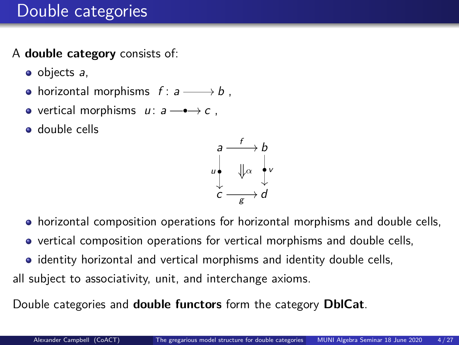### Double categories

### A **double category** consists of:

- $\bullet$  objects  $a$ ,
- horizontal morphisms  $f: a \longrightarrow b$  ,
- vertical morphisms  $u: a \longrightarrow c$ ,
- **o** double cells



- horizontal composition operations for horizontal morphisms and double cells,
- vertical composition operations for vertical morphisms and double cells,
- identity horizontal and vertical morphisms and identity double cells,

all subject to associativity, unit, and interchange axioms.

Double categories and **double functors** form the category **DblCat**.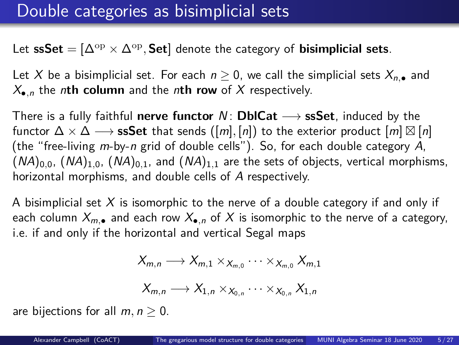Let  $\mathbf{sSet} = [\Delta^{\mathrm{op}} \times \Delta^{\mathrm{op}}, \mathbf{Set}]$  denote the category of  $\mathbf{b}$ isimplicial sets.

Let X be a bisimplicial set. For each  $n \geq 0$ , we call the simplicial sets  $X_{n,\bullet}$  and  $X_{\bullet,n}$  the *n*th column and the *n*th row of X respectively.

There is a fully faithful **nerve functor** N : **DblCat** −→ **ssSet**, induced by the functor  $\Delta \times \Delta \longrightarrow$   $\textbf{ssSet}$  that sends  $([m],[n])$  to the exterior product  $[m] \boxtimes [n]$ (the "free-living m-by-n grid of double cells"). So, for each double category A,  $(NA)_{0,0}$ ,  $(NA)_{1,0}$ ,  $(NA)_{0,1}$ , and  $(NA)_{1,1}$  are the sets of objects, vertical morphisms, horizontal morphisms, and double cells of A respectively.

A bisimplicial set  $X$  is isomorphic to the nerve of a double category if and only if each column  $X_{m,\bullet}$  and each row  $X_{\bullet,n}$  of X is isomorphic to the nerve of a category, i.e. if and only if the horizontal and vertical Segal maps

$$
X_{m,n}\longrightarrow X_{m,1}\times_{X_{m,0}}\cdots\times_{X_{m,0}}X_{m,1}
$$

$$
X_{m,n}\longrightarrow X_{1,n}\times_{X_{0,n}}\cdots\times_{X_{0,n}}X_{1,n}
$$

are bijections for all  $m, n \geq 0$ .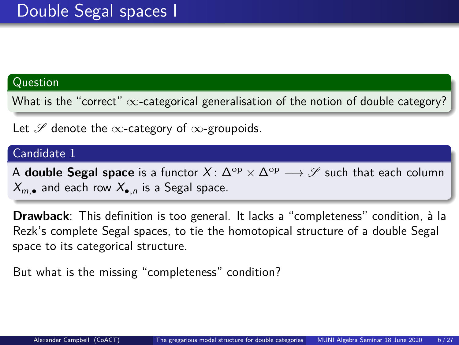#### Question

What is the "correct"  $\infty$ -categorical generalisation of the notion of double category?

Let  $\mathscr S$  denote the  $\infty$ -category of  $\infty$ -groupoids.

#### Candidate 1

A **double Segal space** is a functor  $X: \Delta^{\mathrm{op}} \times \Delta^{\mathrm{op}} \longrightarrow \mathscr{S}$  such that each column  $X_{m}$  and each row  $X_{n}$  is a Segal space.

**Drawback**: This definition is too general. It lacks a "completeness" condition, à la Rezk's complete Segal spaces, to tie the homotopical structure of a double Segal space to its categorical structure.

But what is the missing "completeness" condition?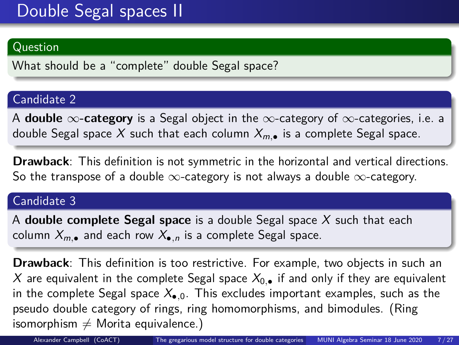#### Question

What should be a "complete" double Segal space?

#### Candidate 2

A **double** ∞**-category** is a Segal object in the ∞-category of ∞-categories, i.e. a double Segal space X such that each column  $X_{m,\bullet}$  is a complete Segal space.

**Drawback**: This definition is not symmetric in the horizontal and vertical directions. So the transpose of a double  $\infty$ -category is not always a double  $\infty$ -category.

#### Candidate 3

A **double complete Segal space** is a double Segal space X such that each column  $X_{m,\bullet}$  and each row  $X_{\bullet,n}$  is a complete Segal space.

**Drawback**: This definition is too restrictive. For example, two objects in such an X are equivalent in the complete Segal space  $X_0$ , if and only if they are equivalent in the complete Segal space  $X_{\bullet,0}$ . This excludes important examples, such as the pseudo double category of rings, ring homomorphisms, and bimodules. (Ring isomorphism  $\neq$  Morita equivalence.)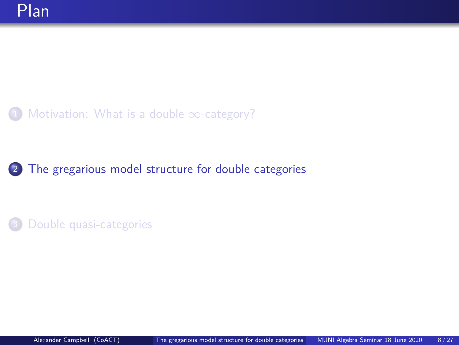### <span id="page-7-0"></span>[Motivation: What is a double](#page-2-0)  $\infty$ -category?

### <sup>2</sup> [The gregarious model structure for double categories](#page-7-0)

[Double quasi-categories](#page-21-0)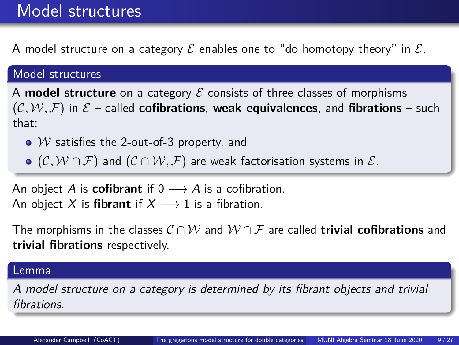### Model structures

A model structure on a category  $\mathcal E$  enables one to "do homotopy theory" in  $\mathcal E$ .

#### Model structures

A **model structure** on a category  $\mathcal E$  consists of three classes of morphisms  $(C, W, F)$  in  $\mathcal{E}$  – called **cofibrations**, weak equivalences, and **fibrations** – such that:

- $W$  satisfies the 2-out-of-3 property, and
- $\bullet$  (C,  $W \cap \mathcal{F}$ ) and (C  $\cap$   $W, \mathcal{F}$ ) are weak factorisation systems in  $\mathcal{E}$ .

An object A is **cofibrant** if  $0 \rightarrow A$  is a cofibration. An object X is **fibrant** if  $X \rightarrow 1$  is a fibration.

The morphisms in the classes  $\mathcal{C} \cap \mathcal{W}$  and  $\mathcal{W} \cap \mathcal{F}$  are called **trivial cofibrations** and **trivial fibrations** respectively.

#### Lemma

A model structure on a category is determined by its fibrant objects and trivial fibrations.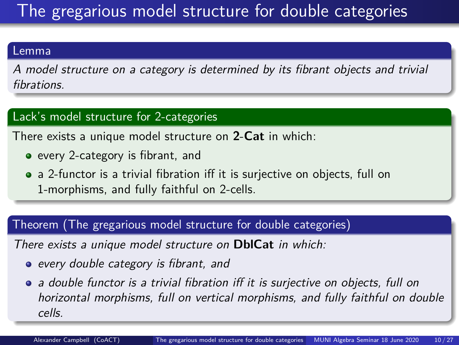# The gregarious model structure for double categories

#### Lemma

A model structure on a category is determined by its fibrant objects and trivial fibrations.

#### Lack's model structure for 2-categories

There exists a unique model structure on **2**-**Cat** in which:

- every 2-category is fibrant, and
- a 2-functor is a trivial fibration iff it is surjective on objects, full on 1-morphisms, and fully faithful on 2-cells.

#### Theorem (The gregarious model structure for double categories)

There exists a unique model structure on **DblCat** in which:

- every double category is fibrant, and
- a double functor is a trivial fibration iff it is surjective on objects, full on horizontal morphisms, full on vertical morphisms, and fully faithful on double cells.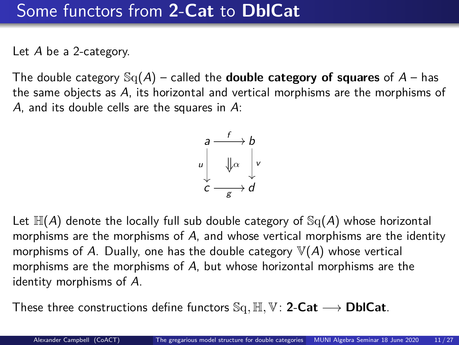### Some functors from **2**-**Cat** to **DblCat**

Let A be a 2-category.

The double category  $\mathbb{S}_q(A)$  – called the **double category of squares** of  $A$  – has the same objects as A, its horizontal and vertical morphisms are the morphisms of A, and its double cells are the squares in A:

$$
\begin{array}{ccc}\n a & f & b \\
 \downarrow & \downarrow & \downarrow \\
 c & g & d\n\end{array}
$$

Let  $\mathbb{H}(A)$  denote the locally full sub double category of  $\mathbb{S}_{q}(A)$  whose horizontal morphisms are the morphisms of A, and whose vertical morphisms are the identity morphisms of A. Dually, one has the double category  $\mathbb{V}(A)$  whose vertical morphisms are the morphisms of A, but whose horizontal morphisms are the identity morphisms of A.

These three constructions define functors Sq*,* H*,* V: **2**-**Cat** −→ **DblCat**.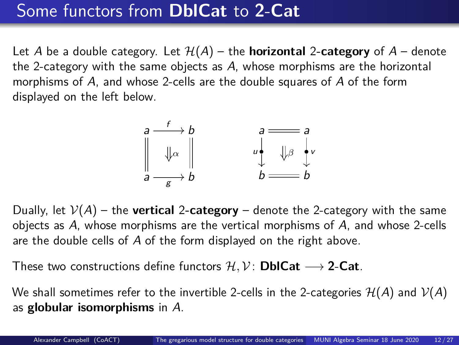## Some functors from **DblCat** to **2**-**Cat**

Let A be a double category. Let  $H(A)$  – the **horizontal** 2-category of  $A$  – denote the 2-category with the same objects as A, whose morphisms are the horizontal morphisms of A, and whose 2-cells are the double squares of A of the form displayed on the left below.



Dually, let  $V(A)$  – the **vertical** 2-category – denote the 2-category with the same objects as A, whose morphisms are the vertical morphisms of A, and whose 2-cells are the double cells of A of the form displayed on the right above.

These two constructions define functors  $\mathcal{H}, \mathcal{V}$ : **DblCat**  $\longrightarrow$  2-Cat.

We shall sometimes refer to the invertible 2-cells in the 2-categories  $\mathcal{H}(A)$  and  $\mathcal{V}(A)$ as **globular isomorphisms** in A.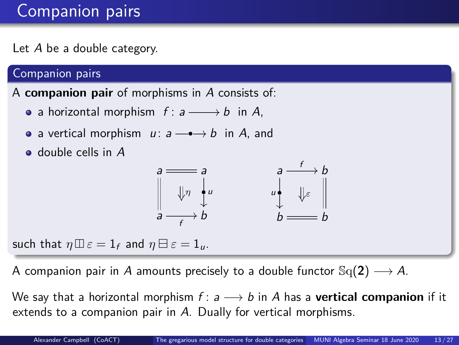# Companion pairs

Let A be a double category.

#### Companion pairs

A **companion pair** of morphisms in A consists of:

- a horizontal morphism  $f: a \longrightarrow b$  in A,
- a vertical morphism  $u: a \longrightarrow b$  in A, and
- $\bullet$  double cells in  $A$

$$
\begin{array}{ccc}\na & \longrightarrow a \\
\parallel & \parallel r \\
a & \longrightarrow b\n\end{array}\n\qquad\n\begin{array}{ccc}\na & \longrightarrow b \\
\downarrow & \parallel \downarrow \varepsilon \\
b & \longrightarrow b\n\end{array}
$$

such that  $\eta \boxplus \varepsilon = 1$  and  $\eta \boxminus \varepsilon = 1$ <sub>u</sub>.

A companion pair in A amounts precisely to a double functor  $\text{Sq}(2) \longrightarrow A$ .

We say that a horizontal morphism  $f: a \longrightarrow b$  in A has a **vertical companion** if it extends to a companion pair in A. Dually for vertical morphisms.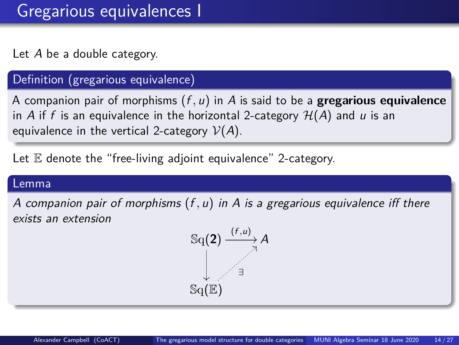Let A be a double category.

#### Definition (gregarious equivalence)

A companion pair of morphisms (f *,* u) in A is said to be a **gregarious equivalence** in A if f is an equivalence in the horizontal 2-category  $H(A)$  and u is an equivalence in the vertical 2-category  $V(A)$ .

Let  $E$  denote the "free-living adjoint equivalence" 2-category.

#### Lemma

A companion pair of morphisms (f *,* u) in A is a gregarious equivalence iff there exists an extension

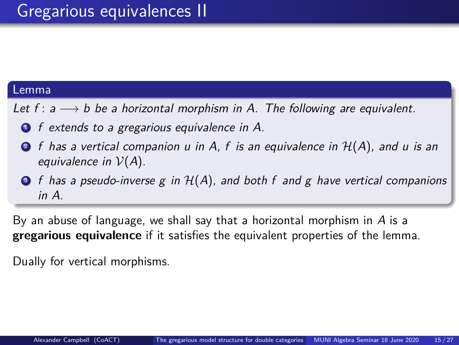#### Lemma

- Let f :  $a \rightarrow b$  be a horizontal morphism in A. The following are equivalent.
	- **1** f extends to a gregarious equivalence in A.
	- $\bullet$  f has a vertical companion u in A, f is an equivalence in  $H(A)$ , and u is an equivalence in  $V(A)$ .
	- $\bullet$  f has a pseudo-inverse g in  $H(A)$ , and both f and g have vertical companions in A.

By an abuse of language, we shall say that a horizontal morphism in  $\overline{A}$  is a **gregarious equivalence** if it satisfies the equivalent properties of the lemma.

Dually for vertical morphisms.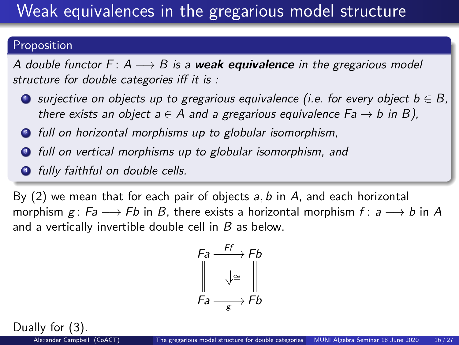# Weak equivalences in the gregarious model structure

#### Proposition

A double functor  $F: A \longrightarrow B$  is a **weak equivalence** in the gregarious model structure for double categories iff it is :

- **O** surjective on objects up to gregarious equivalence (i.e. for every object  $b \in B$ , there exists an object  $a \in A$  and a gregarious equivalence  $Fa \rightarrow b$  in B),
- <sup>2</sup> full on horizontal morphisms up to globular isomorphism,
- $\bullet$  full on vertical morphisms up to globular isomorphism, and
- $\bullet$  fully faithful on double cells.

By (2) we mean that for each pair of objects a*,* b in A, and each horizontal morphism  $g : Fa \longrightarrow Fb$  in B, there exists a horizontal morphism  $f : a \longrightarrow b$  in A and a vertically invertible double cell in B as below.

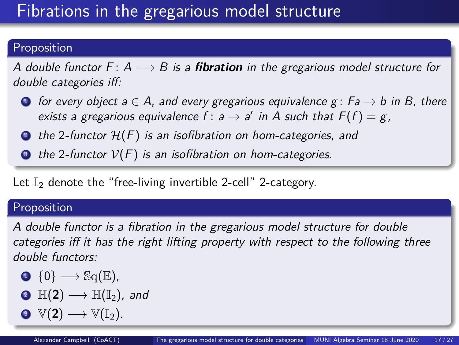# Fibrations in the gregarious model structure

#### Proposition

A double functor  $F: A \longrightarrow B$  is a **fibration** in the gregarious model structure for double categories iff:

- **1** for every object  $a \in A$ , and every gregarious equivalence  $g : Fa \rightarrow b$  in B, there exists a gregarious equivalence  $f : a \rightarrow a'$  in A such that  $F(f) = g$ ,
- $\bullet$  the 2-functor  $\mathcal{H}(F)$  is an isofibration on hom-categories, and
- $\bullet$  the 2-functor  $V(F)$  is an isofibration on hom-categories.

Let  $\mathbb{I}_2$  denote the "free-living invertible 2-cell" 2-category.

#### Proposition

A double functor is a fibration in the gregarious model structure for double categories iff it has the right lifting property with respect to the following three double functors:

$$
\text{O} \ \ \{0\} \longrightarrow \mathbb{S}q(\mathbb{E}),
$$

$$
\bullet\ \mathbb{H}(2)\longrightarrow \mathbb{H}(\mathbb{I}_2),\ \text{and}
$$

$$
\bullet \ \ \mathbb{V}(2) \longrightarrow \mathbb{V}(\mathbb{I}_2).
$$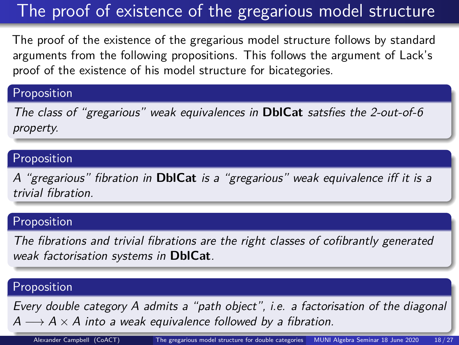# The proof of existence of the gregarious model structure

The proof of the existence of the gregarious model structure follows by standard arguments from the following propositions. This follows the argument of Lack's proof of the existence of his model structure for bicategories.

#### Proposition

The class of "gregarious" weak equivalences in **DblCat** satsfies the 2-out-of-6 property.

#### Proposition

A "gregarious" fibration in **DblCat** is a "gregarious" weak equivalence iff it is a trivial fibration.

#### Proposition

The fibrations and trivial fibrations are the right classes of cofibrantly generated weak factorisation systems in **DblCat**.

#### Proposition

Every double category A admits a "path object", i.e. a factorisation of the diagonal  $A \longrightarrow A \times A$  into a weak equivalence followed by a fibration.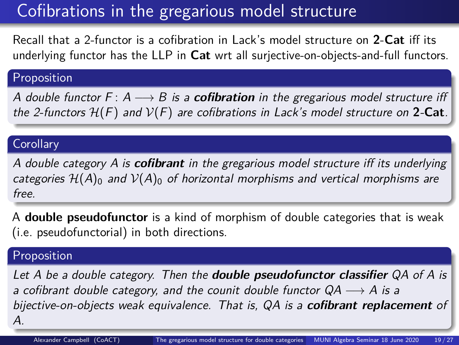## Cofibrations in the gregarious model structure

Recall that a 2-functor is a cofibration in Lack's model structure on **2**-**Cat** iff its underlying functor has the LLP in **Cat** wrt all surjective-on-objects-and-full functors.

#### Proposition

A double functor  $F: A \longrightarrow B$  is a **cofibration** in the gregarious model structure iff the 2-functors  $H(F)$  and  $V(F)$  are cofibrations in Lack's model structure on 2-Cat.

#### **Corollary**

A double category A is **cofibrant** in the gregarious model structure iff its underlying categories  $\mathcal{H}(A)_0$  and  $\mathcal{V}(A)_0$  of horizontal morphisms and vertical morphisms are free.

A **double pseudofunctor** is a kind of morphism of double categories that is weak (i.e. pseudofunctorial) in both directions.

#### Proposition

Let A be a double category. Then the **double pseudofunctor classifier** QA of A is a cofibrant double category, and the counit double functor  $QA \rightarrow A$  is a bijective-on-objects weak equivalence. That is, QA is a **cofibrant replacement** of A.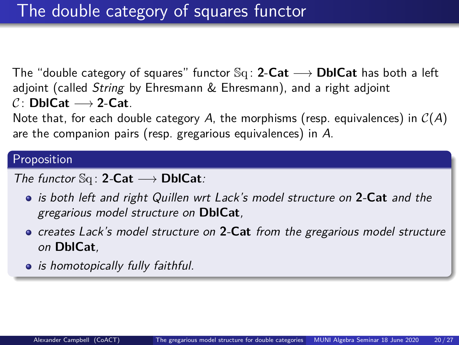The "double category of squares" functor Sq : **2**-**Cat** −→ **DblCat** has both a left adjoint (called String by Ehresmann & Ehresmann), and a right adjoint  $C:$  **DblCat**  $\longrightarrow$  2-**Cat**.

Note that, for each double category A, the morphisms (resp. equivalences) in  $C(A)$ are the companion pairs (resp. gregarious equivalences) in A.

#### Proposition

#### The functor Sq : **2**-**Cat** −→ **DblCat**:

- is both left and right Quillen wrt Lack's model structure on **2**-**Cat** and the gregarious model structure on **DblCat**,
- creates Lack's model structure on **2**-**Cat** from the gregarious model structure on **DblCat**,
- is homotopically fully faithful.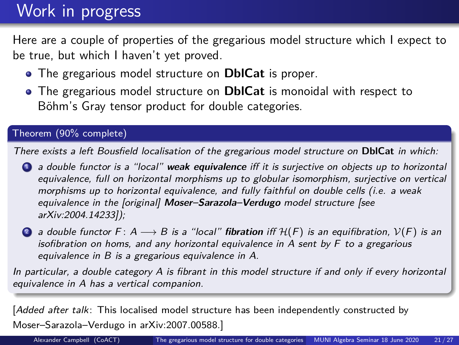### Work in progress

Here are a couple of properties of the gregarious model structure which I expect to be true, but which I haven't yet proved.

- The gregarious model structure on **DblCat** is proper.
- The gregarious model structure on **DblCat** is monoidal with respect to Böhm's Gray tensor product for double categories.

#### Theorem (90% complete)

There exists a left Bousfield localisation of the gregarious model structure on **DblCat** in which:

- <sup>1</sup> a double functor is a "local" **weak equivalence** iff it is surjective on objects up to horizontal equivalence, full on horizontal morphisms up to globular isomorphism, surjective on vertical morphisms up to horizontal equivalence, and fully faithful on double cells (i.e. a weak equivalence in the [original] **Moser–Sarazola–Verdugo** model structure [see [arXiv:2004.14233\]](https://arxiv.org/abs/2004.14233));
- 2 a double functor F:  $A \longrightarrow B$  is a "local" **fibration** iff  $H(F)$  is an equifibration,  $V(F)$  is an isofibration on homs, and any horizontal equivalence in  $A$  sent by  $F$  to a gregarious equivalence in B is a gregarious equivalence in A.

In particular, a double category A is fibrant in this model structure if and only if every horizontal equivalence in A has a vertical companion.

[Added after talk: This localised model structure has been independently constructed by Moser–Sarazola–Verdugo in [arXiv:2007.00588.](https://arxiv.org/abs/2007.00588)]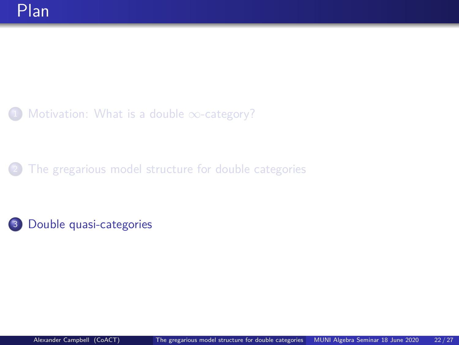<span id="page-21-0"></span>[Motivation: What is a double](#page-2-0)  $\infty$ -category?

[The gregarious model structure for double categories](#page-7-0)

<sup>3</sup> [Double quasi-categories](#page-21-0)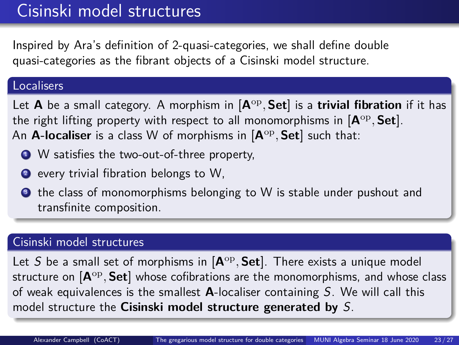### Cisinski model structures

Inspired by Ara's definition of 2-quasi-categories, we shall define double quasi-categories as the fibrant objects of a Cisinski model structure.

#### **Localisers**

Let **A** be a small category. A morphism in [**A**op *,* **Set**] is a **trivial fibration** if it has the right lifting property with respect to all monomorphisms in [**A**op *,* **Set**]. An **A-localiser** is a class W of morphisms in [**A**op *,* **Set**] such that:

- W satisfies the two-out-of-three property,
- <sup>2</sup> every trivial fibration belongs to W,
- **3** the class of monomorphisms belonging to W is stable under pushout and transfinite composition.

#### Cisinski model structures

Let S be a small set of morphisms in [**A**op *,* **Set**]. There exists a unique model structure on [**A**op *,* **Set**] whose cofibrations are the monomorphisms, and whose class of weak equivalences is the smallest **A**-localiser containing S. We will call this model structure the **Cisinski model structure generated by** S.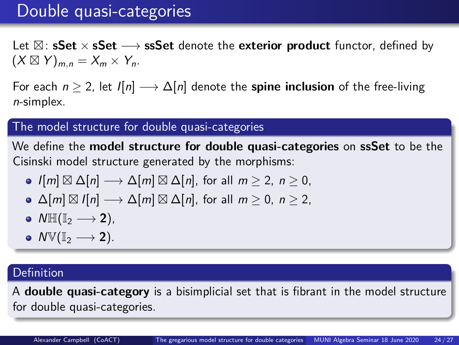### Double quasi-categories

Let  $\boxtimes$ : **sSet** × **sSet → ssSet** denote the **exterior product** functor, defined by  $(X \boxtimes Y)_{m,n} = X_m \times Y_n$ .

For each  $n \geq 2$ , let  $I[n] \longrightarrow \Delta[n]$  denote the **spine inclusion** of the free-living n-simplex.

#### The model structure for double quasi-categories

We define the **model structure for double quasi-categories** on **ssSet** to be the Cisinski model structure generated by the morphisms:

- $I[m] \boxtimes \Delta[n] \longrightarrow \Delta[m] \boxtimes \Delta[n]$ , for all  $m \geq 2$ ,  $n \geq 0$ ,
- $\Delta[m] \boxtimes I[n] \longrightarrow \Delta[m] \boxtimes \Delta[n]$ , for all  $m \geq 0$ ,  $n \geq 2$ ,
- $\bullet \;\mathsf{N}\mathbb{H}(\mathbb{I}_2 \longrightarrow 2),$
- $\bullet$  NV(I<sub>2</sub>  $\longrightarrow$  2).

#### **Definition**

A **double quasi-category** is a bisimplicial set that is fibrant in the model structure for double quasi-categories.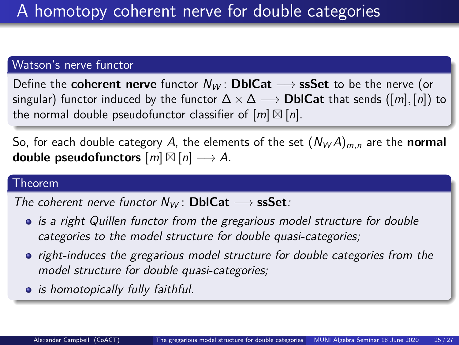#### Watson's nerve functor

Define the **coherent nerve** functor  $N_W$ : **DblCat**  $\longrightarrow$  **ssSet** to be the nerve (or singular) functor induced by the functor  $\Delta \times \Delta \longrightarrow$  **DblCat** that sends ( $[m]$ ,  $[n]$ ) to the normal double pseudofunctor classifier of  $[m]\boxtimes [n]$ .

So, for each double category A, the elements of the set  $(N_W A)_{m,n}$  are the **normal double pseudofunctors**  $[m] \boxtimes [n] \longrightarrow A$ .

#### Theorem

The coherent nerve functor  $N_W$ : **DblCat**  $\longrightarrow$  **ssSet**:

- is a right Quillen functor from the gregarious model structure for double categories to the model structure for double quasi-categories;
- right-induces the gregarious model structure for double categories from the model structure for double quasi-categories;
- is homotopically fully faithful.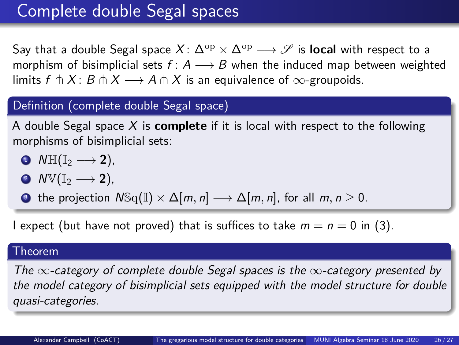### Complete double Segal spaces

Say that a double Segal space  $X: \Delta^{\rm op} \times \Delta^{\rm op} \longrightarrow \mathscr{S}$  is **local** with respect to a morphism of bisimplicial sets  $f: A \longrightarrow B$  when the induced map between weighted limits  $f \uparrow X$ :  $B \uparrow X \longrightarrow A \uparrow X$  is an equivalence of  $\infty$ -groupoids.

#### Definition (complete double Segal space)

A double Segal space X is **complete** if it is local with respect to the following morphisms of bisimplicial sets:

- $\bullet \quad \mathsf{N}\mathbb{H}(\mathbb{I}_2 \longrightarrow 2),$
- $\bullet$  NV(I<sub>2</sub>  $\longrightarrow$  2),
- **3** the projection  $N\text{Sq}(\mathbb{I}) \times \Delta[m, n] \longrightarrow \Delta[m, n]$ , for all  $m, n \geq 0$ .

I expect (but have not proved) that is suffices to take  $m = n = 0$  in (3).

#### Theorem

The  $\infty$ -category of complete double Segal spaces is the  $\infty$ -category presented by the model category of bisimplicial sets equipped with the model structure for double quasi-categories.